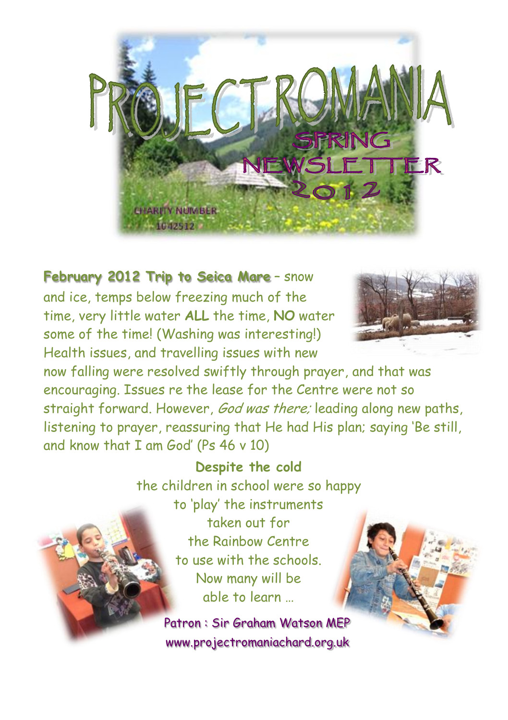

## **February 2012 Trip to Seica Mare** – snow

and ice, temps below freezing much of the time, very little water **ALL** the time, **NO** water some of the time! (Washing was interesting!) Health issues, and travelling issues with new



now falling were resolved swiftly through prayer, and that was encouraging. Issues re the lease for the Centre were not so straight forward. However, God was there; leading along new paths, listening to prayer, reassuring that He had His plan; saying 'Be still, and know that I am God' (Ps 46 v 10)

## **Despite the cold**

the children in school were so happy to 'play' the instruments taken out for the Rainbow Centre to use with the schools. Now many will be able to learn …

> Patron : Sir Graham Watson MEP www.projectromaniachard.org.uk

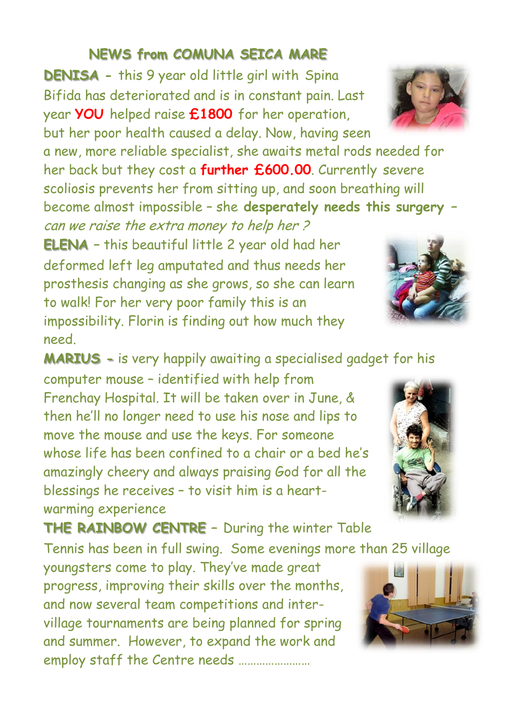## **NEWS from COMUNA SEICA MARE**

**DENISA -** this 9 year old little girl with Spina Bifida has deteriorated and is in constant pain. Last year **YOU** helped raise **£1800** for her operation, but her poor health caused a delay. Now, having seen

a new, more reliable specialist, she awaits metal rods needed for her back but they cost a **further £600.00**. Currently severe scoliosis prevents her from sitting up, and soon breathing will become almost impossible – she **desperately needs this surgery –**

can we raise the extra money to help her ? **ELENA –** this beautiful little 2 year old had her deformed left leg amputated and thus needs her prosthesis changing as she grows, so she can learn to walk! For her very poor family this is an impossibility. Florin is finding out how much they need.

**MARIUS -** is very happily awaiting a specialised gadget for his

computer mouse – identified with help from Frenchay Hospital. It will be taken over in June, & then he'll no longer need to use his nose and lips to move the mouse and use the keys. For someone whose life has been confined to a chair or a bed he's amazingly cheery and always praising God for all the blessings he receives – to visit him is a heartwarming experience

**THE RAINBOW CENTRE –** During the winter Table

Tennis has been in full swing. Some evenings more than 25 village

youngsters come to play. They've made great progress, improving their skills over the months, and now several team competitions and intervillage tournaments are being planned for spring and summer. However, to expand the work and employ staff the Centre needs ……………………









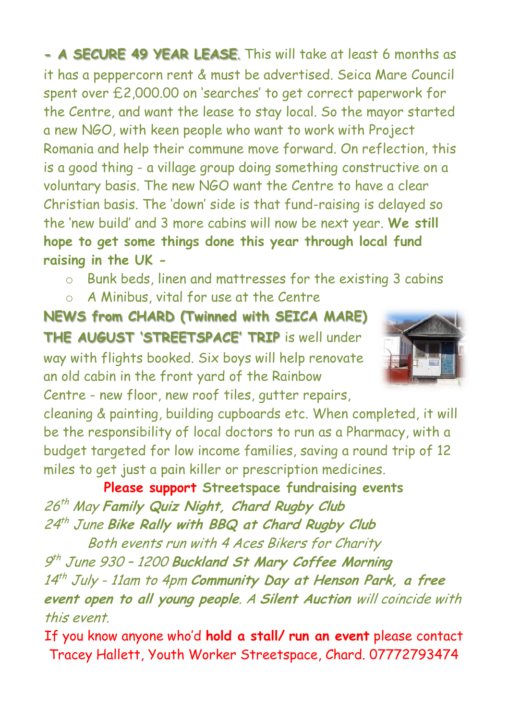**- A SECURE 49 YEAR LEASE**. This will take at least 6 months as it has a peppercorn rent & must be advertised. Seica Mare Council spent over £2,000.00 on 'searches' to get correct paperwork for the Centre, and want the lease to stay local. So the mayor started a new NGO, with keen people who want to work with Project Romania and help their commune move forward. On reflection, this is a good thing - a village group doing something constructive on a voluntary basis. The new NGO want the Centre to have a clear Christian basis. The 'down' side is that fund-raising is delayed so the 'new build' and 3 more cabins will now be next year. **We still hope to get some things done this year through local fund raising in the UK -**

- o Bunk beds, linen and mattresses for the existing 3 cabins
- o A Minibus, vital for use at the Centre

**NEWS from CHARD (Twinned with SEICA MARE) THE AUGUST 'STREETSPACE' TRIP** is well under way with flights booked. Six boys will help renovate an old cabin in the front yard of the Rainbow Centre - new floor, new roof tiles, gutter repairs,



cleaning & painting, building cupboards etc. When completed, it will be the responsibility of local doctors to run as a Pharmacy, with a budget targeted for low income families, saving a round trip of 12 miles to get just a pain killer or prescription medicines.

**Please support Streetspace fundraising events** 26 th May **Family Quiz Night, Chard Rugby Club** 24 th June **Bike Rally with BBQ at Chard Rugby Club**

Both events run with 4 Aces Bikers for Charity 9 th June 930 – <sup>1200</sup>**Buckland St Mary Coffee Morning**  14 th July - 11am to 4pm **Community Day at Henson Park, a free event open to all young people**. A **Silent Auction** will coincide with this event.

If you know anyone who'd **hold a stall/ run an event** please contact Tracey Hallett, Youth Worker Streetspace, Chard. 07772793474